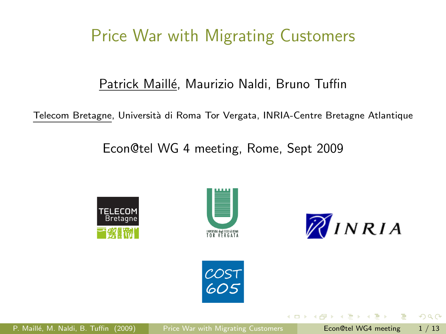# Price War with Migrating Customers

### Patrick Maillé, Maurizio Naldi, Bruno Tuffin

Telecom Bretagne, Universit`a di Roma Tor Vergata, INRIA-Centre Bretagne Atlantique

Econ@tel WG 4 meeting, Rome, Sept 2009





<span id="page-0-0"></span>

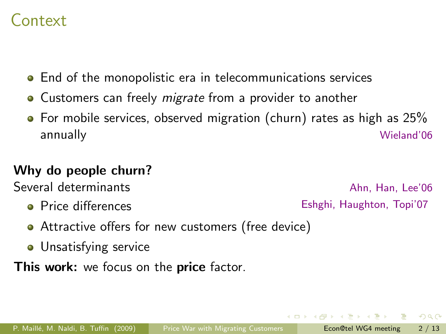## Context

- End of the monopolistic era in telecommunications services
- Customers can freely *migrate* from a provider to another
- For mobile services, observed migration (churn) rates as high as 25% annually Wieland'06

### Why do people churn?

Several determinants and a several determinants and a several several several several several several several

**•** Price differences **Eshghi, Haughton, Topi'07** 

- Attractive offers for new customers (free device)
- **•** Unsatisfying service

This work: we focus on the price factor.

 $QQ$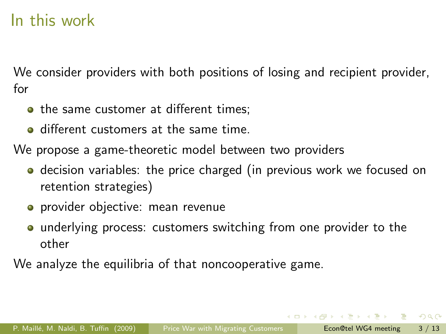## In this work

We consider providers with both positions of losing and recipient provider, for

- the same customer at different times:
- **o** different customers at the same time.

We propose a game-theoretic model between two providers

- **•** decision variables: the price charged (in previous work we focused on retention strategies)
- **•** provider objective: mean revenue
- underlying process: customers switching from one provider to the other

We analyze the equilibria of that noncooperative game.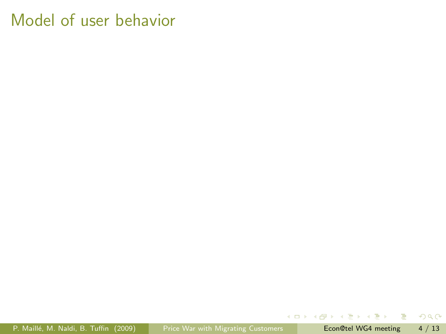P. Maillé, M. Naldi, B. Tuffin (2009) [Price War with Migrating Customers](#page-0-0) Econ@tel WG4 meeting 4 / 13

→ 君 > → 君 >

**4 ロト 4 何 ト** 

÷.

 $298$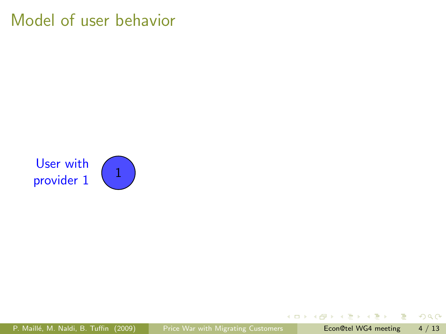User with provider 1



画

 $298$ 

ヨメ マヨメ

 $\sim$ 

**← ロ ▶ → イ 冊**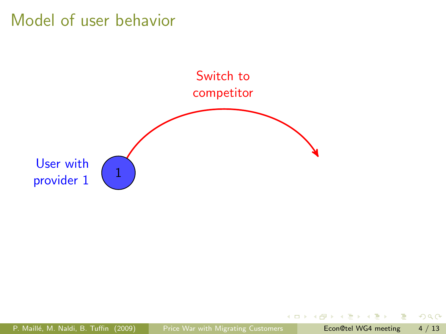

4日下

 $\mathcal{A}$  .

Þ  $\rightarrow$   $\equiv$   $\rightarrow$   $298$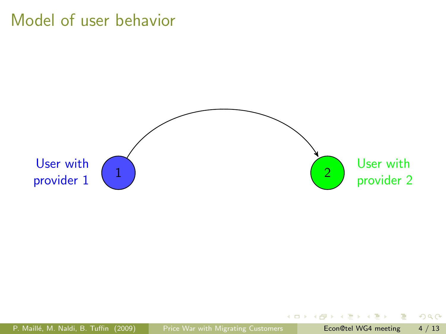

4日下

Ξ 一本 語 下  $298$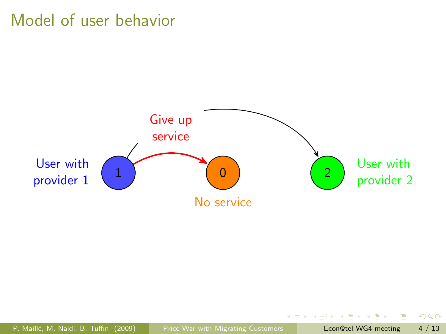

4日下

÷  $\sim$  $\rightarrow$   $\equiv$   $\rightarrow$   $298$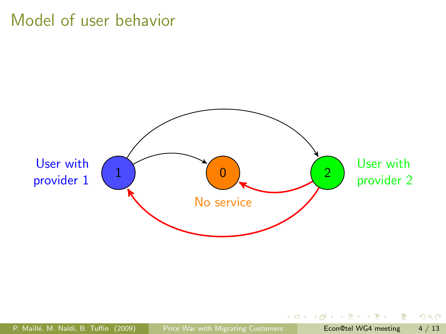

4日下

 $298$ 

э

一本 語 ()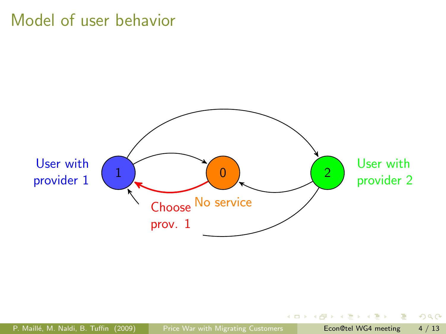

4日下

÷.  $\rightarrow$   $\rightarrow$   $\equiv$   $\rightarrow$ 

 $\sim$ 

 $298$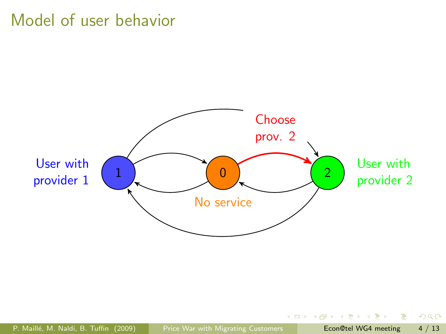

4日下

Ξ  $\triangleright$   $\rightarrow$   $\exists$   $\rightarrow$   $298$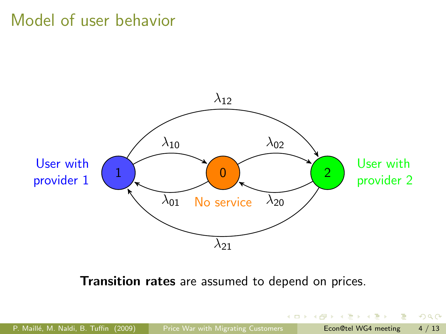

Transition rates are assumed to depend on prices.

 $2990$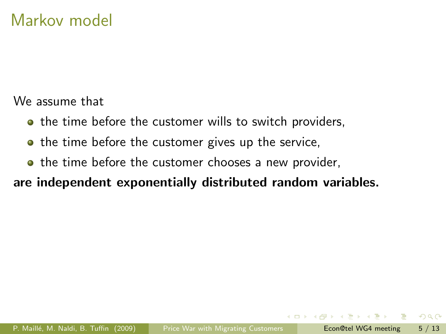We assume that

- the time before the customer wills to switch providers,
- the time before the customer gives up the service,
- the time before the customer chooses a new provider,

### are independent exponentially distributed random variables.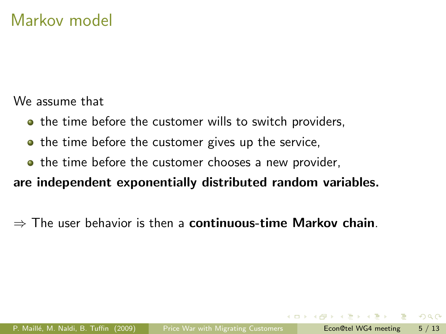We assume that

- **•** the time before the customer wills to switch providers,
- the time before the customer gives up the service,
- the time before the customer chooses a new provider,

are independent exponentially distributed random variables.

 $\Rightarrow$  The user behavior is then a **continuous-time Markov chain**.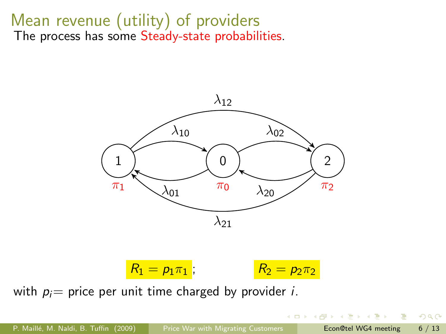# Mean revenue (utility) of providers

The process has some Steady-state probabilities.



 $R_1 = p_1 \pi_1$ ;  $R_2 = p_2 \pi_2$ 

4 A N

with  $p_i$  = price per unit time charged by provider *i*.

 $2990$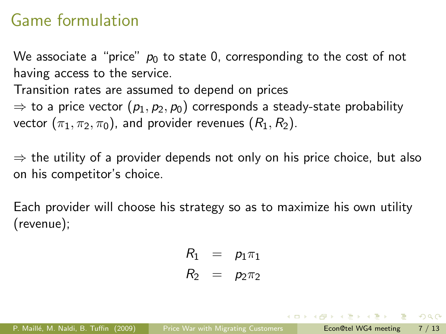# Game formulation

We associate a "price"  $p_0$  to state 0, corresponding to the cost of not having access to the service.

Transition rates are assumed to depend on prices

 $\Rightarrow$  to a price vector  $(p_1, p_2, p_0)$  corresponds a steady-state probability vector  $(\pi_1, \pi_2, \pi_0)$ , and provider revenues  $(R_1, R_2)$ .

 $\Rightarrow$  the utility of a provider depends not only on his price choice, but also on his competitor's choice.

Each provider will choose his strategy so as to maximize his own utility (revenue);

$$
R_1 = p_1 \pi_1
$$
  

$$
R_2 = p_2 \pi_2
$$

(ロ) (何) (ヨ) (ヨ) ヨー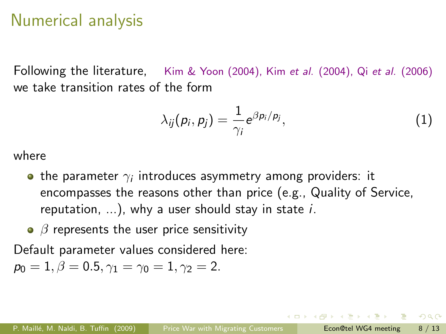## Numerical analysis

Following the literature, Kim & Yoon (2004), Kim et al. (2004), Qi et al. (2006) we take transition rates of the form

$$
\lambda_{ij}(p_i, p_j) = \frac{1}{\gamma_i} e^{\beta p_i/p_j}, \qquad (1)
$$

where

- the parameter  $\gamma_i$  introduces asymmetry among providers: it encompasses the reasons other than price (e.g., Quality of Service, reputation,  $\dots$ ), why a user should stay in state i.
- $\theta$  *β* represents the user price sensitivity

Default parameter values considered here:

$$
p_0=1, \beta=0.5, \gamma_1=\gamma_0=1, \gamma_2=2.
$$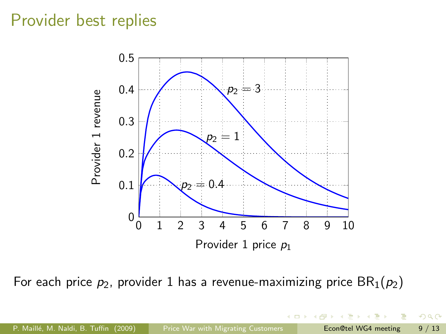## Provider best replies



For each price  $p_2$ , provider 1 has a revenue-maximizing price  $BR_1(p_2)$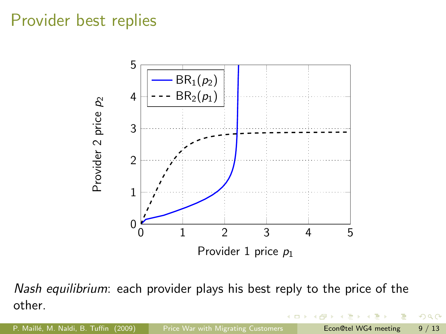## Provider best replies



Nash equilibrium: each provider plays his best reply to the price of the other.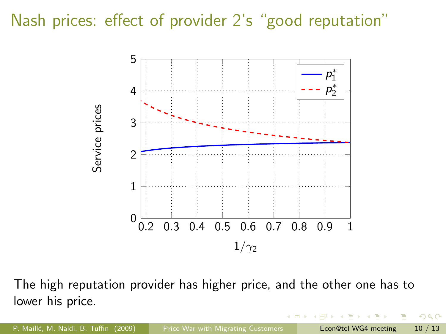Nash prices: effect of provider 2's "good reputation"



The high reputation provider has higher price, and the other one has to lower his price.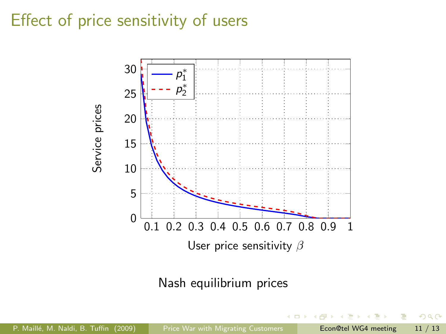# Effect of price sensitivity of users



### Nash equilibrium prices

P. Maillé, M. Naldi, B. Tuffin (2009) [Price War with Migrating Customers](#page-0-0) Econ@tel WG4 meeting 11 / 13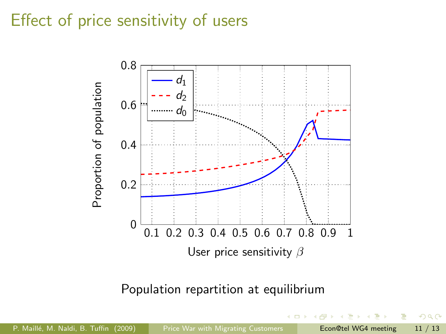# Effect of price sensitivity of users



#### Population repartition at equilibrium

P. Maillé, M. Naldi, B. Tuffin (2009) [Price War with Migrating Customers](#page-0-0) Econ@tel WG4 meeting 11 / 13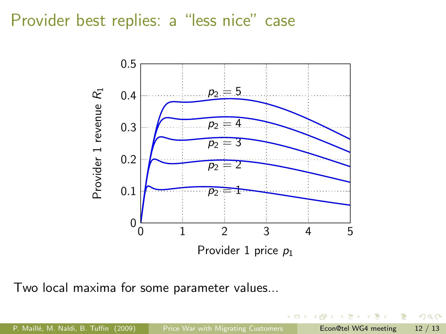Provider best replies: a "less nice" case



Two local maxima for some parameter values...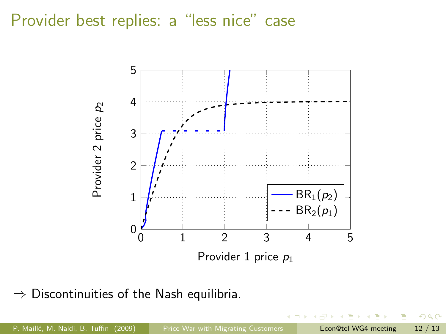### Provider best replies: a "less nice" case



 $\Rightarrow$  Discontinuities of the Nash equilibria.

 $290$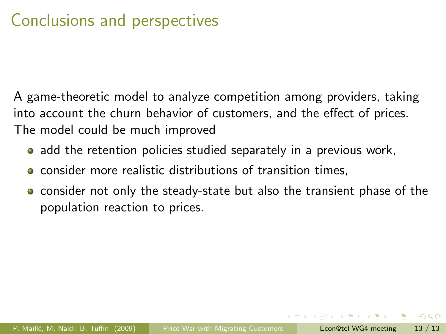# Conclusions and perspectives

A game-theoretic model to analyze competition among providers, taking into account the churn behavior of customers, and the effect of prices. The model could be much improved

- **•** add the retention policies studied separately in a previous work,
- **•** consider more realistic distributions of transition times,
- **•** consider not only the steady-state but also the transient phase of the population reaction to prices.